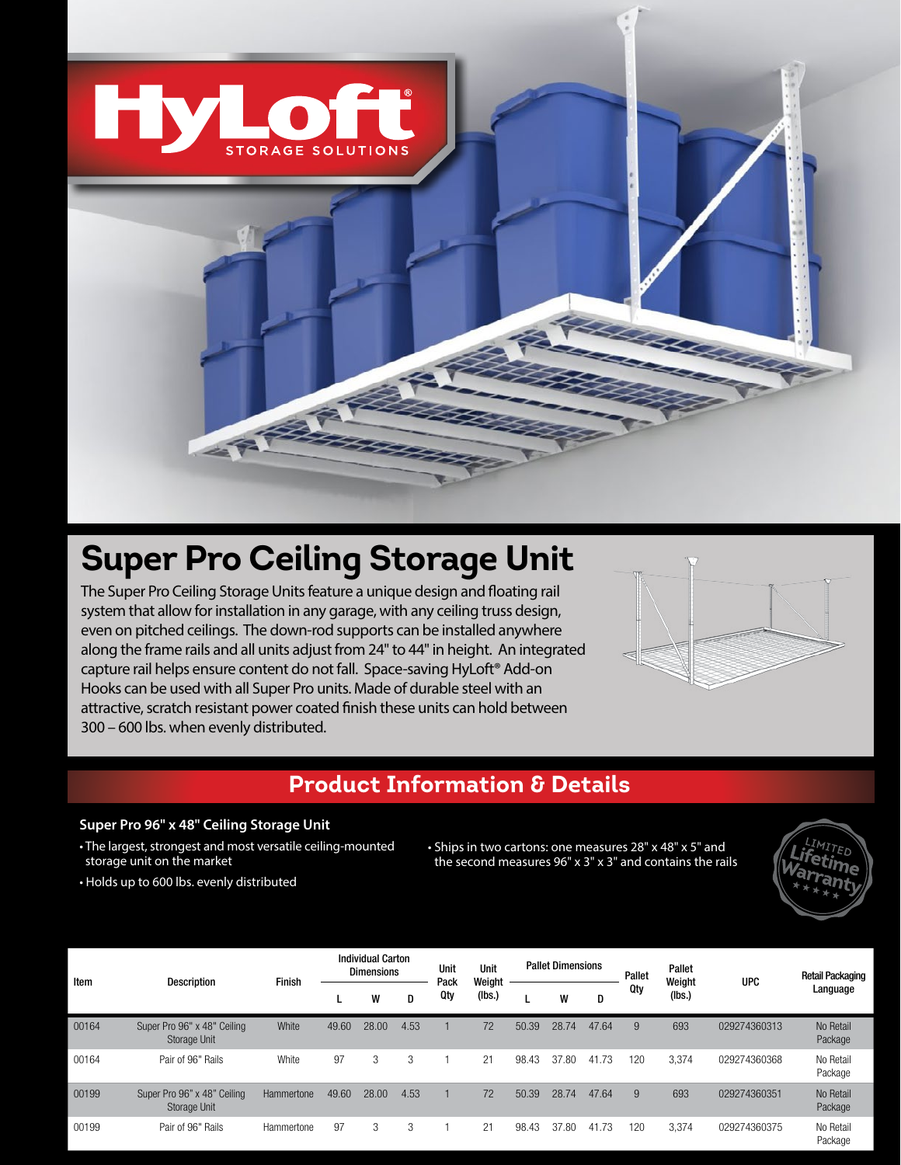

2 F 2

# **Super Pro Ceiling Storage Unit**

The Super Pro Ceiling Storage Units feature a unique design and floating rail system that allow for installation in any garage, with any ceiling truss design, even on pitched ceilings. The down-rod supports can be installed anywhere along the frame rails and all units adjust from 24" to 44" in height. An integrated capture rail helps ensure content do not fall. Space-saving HyLoft® Add-on Hooks can be used with all Super Pro units. Made of durable steel with an attractive, scratch resistant power coated finish these units can hold between 300 – 600 lbs. when evenly distributed.



## **Product Information & Details**

#### **Super Pro 96" x 48" Ceiling Storage Unit**

- The largest, strongest and most versatile ceiling-mounted storage unit on the market
	- Ships in two cartons: one measures 28" x 48" x 5" and the second measures 96" x 3" x 3" and contains the rails



• Holds up to 600 lbs. evenly distributed

| Item  | <b>Description</b>                                 | Finish     | <b>Individual Carton</b><br><b>Dimensions</b> |       |      | Unit<br>Pack | Unit<br>Weight | <b>Pallet Dimensions</b> |       |       | Pallet | Pallet<br>Weight | <b>UPC</b>   | <b>Retail Packaging</b> |
|-------|----------------------------------------------------|------------|-----------------------------------------------|-------|------|--------------|----------------|--------------------------|-------|-------|--------|------------------|--------------|-------------------------|
|       |                                                    |            |                                               | W     | D    | Qty          | (Ibs.)         |                          | W     | D     | Qty    | (Ibs.)           |              | Language                |
| 00164 | Super Pro 96" x 48" Ceiling<br><b>Storage Unit</b> | White      | 49.60                                         | 28.00 | 4.53 |              | 72             | 50.39                    | 28.74 | 47.64 | 9      | 693              | 029274360313 | No Retail<br>Package    |
| 00164 | Pair of 96" Rails                                  | White      | 97                                            | 3     | 3    |              | 21             | 98.43                    | 37.80 | 41.73 | 120    | 3,374            | 029274360368 | No Retail<br>Package    |
| 00199 | Super Pro 96" x 48" Ceiling<br><b>Storage Unit</b> | Hammertone | 49.60                                         | 28.00 | 4.53 |              | 72             | 50.39                    | 28.74 | 47.64 | 9      | 693              | 029274360351 | No Retail<br>Package    |
| 00199 | Pair of 96" Rails                                  | Hammertone | 97                                            | 3     | 3    |              | 21             | 98.43                    | 37.80 | 41.73 | 120    | 3,374            | 029274360375 | No Retail<br>Package    |